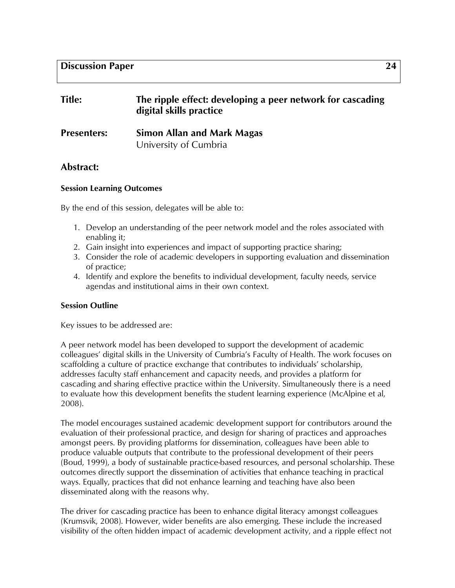| <b>Title:</b>      | The ripple effect: developing a peer network for cascading<br>digital skills practice |
|--------------------|---------------------------------------------------------------------------------------|
| <b>Presenters:</b> | <b>Simon Allan and Mark Magas</b>                                                     |
|                    | University of Cumbria                                                                 |

# **Abstract:**

## **Session Learning Outcomes**

By the end of this session, delegates will be able to:

- 1. Develop an understanding of the peer network model and the roles associated with enabling it;
- 2. Gain insight into experiences and impact of supporting practice sharing;
- 3. Consider the role of academic developers in supporting evaluation and dissemination of practice;
- 4. Identify and explore the benefits to individual development, faculty needs, service agendas and institutional aims in their own context.

## **Session Outline**

Key issues to be addressed are:

A peer network model has been developed to support the development of academic colleagues' digital skills in the University of Cumbria's Faculty of Health. The work focuses on scaffolding a culture of practice exchange that contributes to individuals' scholarship, addresses faculty staff enhancement and capacity needs, and provides a platform for cascading and sharing effective practice within the University. Simultaneously there is a need to evaluate how this development benefits the student learning experience (McAlpine et al, 2008).

The model encourages sustained academic development support for contributors around the evaluation of their professional practice, and design for sharing of practices and approaches amongst peers. By providing platforms for dissemination, colleagues have been able to produce valuable outputs that contribute to the professional development of their peers (Boud, 1999), a body of sustainable practice-based resources, and personal scholarship. These outcomes directly support the dissemination of activities that enhance teaching in practical ways. Equally, practices that did not enhance learning and teaching have also been disseminated along with the reasons why.

The driver for cascading practice has been to enhance digital literacy amongst colleagues (Krumsvik, 2008). However, wider benefits are also emerging. These include the increased visibility of the often hidden impact of academic development activity, and a ripple effect not